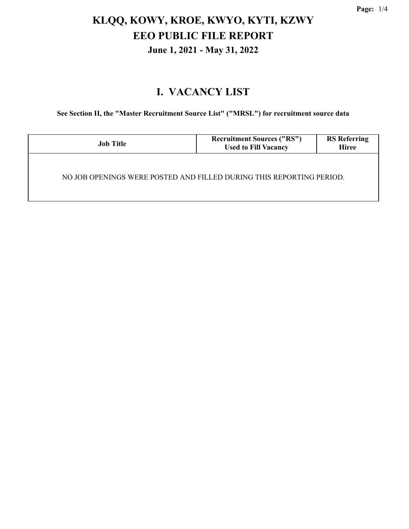## **KLQQ, KOWY, KROE, KWYO, KYTI, KZWY EEO PUBLIC FILE REPORT June 1, 2021 - May 31, 2022**

#### **I. VACANCY LIST**

**See Section II, the "Master Recruitment Source List" ("MRSL") for recruitment source data**

| <b>Job Title</b>                                                     | <b>Recruitment Sources ("RS")</b><br><b>Used to Fill Vacancy</b> | <b>RS</b> Referring<br><b>Hiree</b> |  |  |
|----------------------------------------------------------------------|------------------------------------------------------------------|-------------------------------------|--|--|
| NO JOB OPENINGS WERE POSTED AND FILLED DURING THIS REPORTING PERIOD. |                                                                  |                                     |  |  |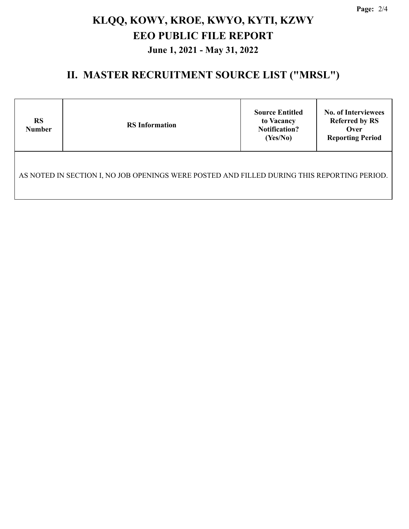**Page:** 2/4

# **KLQQ, KOWY, KROE, KWYO, KYTI, KZWY EEO PUBLIC FILE REPORT June 1, 2021 - May 31, 2022**

#### **II. MASTER RECRUITMENT SOURCE LIST ("MRSL")**

| <b>RS</b><br><b>Number</b>                                                                  | <b>RS</b> Information | <b>Source Entitled</b><br>to Vacancy<br><b>Notification?</b><br>(Yes/No) | <b>No. of Interviewees</b><br><b>Referred by RS</b><br>Over<br><b>Reporting Period</b> |  |  |
|---------------------------------------------------------------------------------------------|-----------------------|--------------------------------------------------------------------------|----------------------------------------------------------------------------------------|--|--|
| AS NOTED IN SECTION I, NO JOB OPENINGS WERE POSTED AND FILLED DURING THIS REPORTING PERIOD. |                       |                                                                          |                                                                                        |  |  |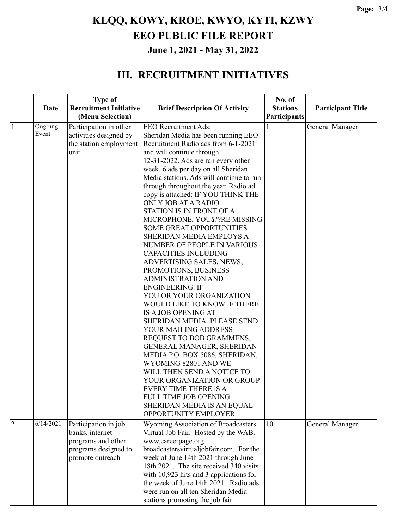## **KLQQ, KOWY, KROE, KWYO, KYTI, KZWY EEO PUBLIC FILE REPORT June 1, 2021 - May 31, 2022**

#### **III. RECRUITMENT INITIATIVES**

|                |             | <b>Type of</b>                |                                            | No. of          |                          |
|----------------|-------------|-------------------------------|--------------------------------------------|-----------------|--------------------------|
|                | <b>Date</b> | <b>Recruitment Initiative</b> | <b>Brief Description Of Activity</b>       | <b>Stations</b> | <b>Participant Title</b> |
|                |             | (Menu Selection)              |                                            | Participants    |                          |
| $\mathbf{1}$   | Ongoing     | Participation in other        | <b>EEO</b> Recruitment Ads:                |                 | General Manager          |
|                | Event       | activities designed by        | Sheridan Media has been running EEO        |                 |                          |
|                |             | the station employment        | Recruitment Radio ads from 6-1-2021        |                 |                          |
|                |             | unit                          | and will continue through                  |                 |                          |
|                |             |                               | 12-31-2022. Ads are ran every other        |                 |                          |
|                |             |                               | week. 6 ads per day on all Sheridan        |                 |                          |
|                |             |                               | Media stations. Ads will continue to run   |                 |                          |
|                |             |                               | through throughout the year. Radio ad      |                 |                          |
|                |             |                               | copy is attached: IF YOU THINK THE         |                 |                          |
|                |             |                               | ONLY JOB AT A RADIO                        |                 |                          |
|                |             |                               | STATION IS IN FRONT OF A                   |                 |                          |
|                |             |                               | MICROPHONE, YOUâ??RE MISSING               |                 |                          |
|                |             |                               | <b>SOME GREAT OPPORTUNITIES.</b>           |                 |                          |
|                |             |                               | SHERIDAN MEDIA EMPLOYS A                   |                 |                          |
|                |             |                               | NUMBER OF PEOPLE IN VARIOUS                |                 |                          |
|                |             |                               | <b>CAPACITIES INCLUDING</b>                |                 |                          |
|                |             |                               | ADVERTISING SALES, NEWS,                   |                 |                          |
|                |             |                               | PROMOTIONS, BUSINESS                       |                 |                          |
|                |             |                               | <b>ADMINISTRATION AND</b>                  |                 |                          |
|                |             |                               | <b>ENGINEERING. IF</b>                     |                 |                          |
|                |             |                               | YOU OR YOUR ORGANIZATION                   |                 |                          |
|                |             |                               | WOULD LIKE TO KNOW IF THERE                |                 |                          |
|                |             |                               | IS A JOB OPENING AT                        |                 |                          |
|                |             |                               | SHERIDAN MEDIA. PLEASE SEND                |                 |                          |
|                |             |                               | YOUR MAILING ADDRESS                       |                 |                          |
|                |             |                               | REQUEST TO BOB GRAMMENS,                   |                 |                          |
|                |             |                               | GENERAL MANAGER, SHERIDAN                  |                 |                          |
|                |             |                               | MEDIA P.O. BOX 5086, SHERIDAN,             |                 |                          |
|                |             |                               | WYOMING 82801 AND WE                       |                 |                          |
|                |             |                               | WILL THEN SEND A NOTICE TO                 |                 |                          |
|                |             |                               | YOUR ORGANIZATION OR GROUP                 |                 |                          |
|                |             |                               | <b>EVERY TIME THERE IS A</b>               |                 |                          |
|                |             |                               | FULL TIME JOB OPENING.                     |                 |                          |
|                |             |                               | SHERIDAN MEDIA IS AN EQUAL                 |                 |                          |
|                |             |                               | OPPORTUNITY EMPLOYER.                      |                 |                          |
| $\overline{2}$ | 6/14/2021   | Participation in job          | <b>Wyoming Association of Broadcasters</b> | 10              | <b>General Manager</b>   |
|                |             | banks, internet               | Virtual Job Fair. Hosted by the WAB.       |                 |                          |
|                |             | programs and other            | www.careerpage.org                         |                 |                          |
|                |             | programs designed to          | broadcastersvirtualjobfair.com. For the    |                 |                          |
|                |             | promote outreach              | week of June 14th 2021 through June        |                 |                          |
|                |             |                               | 18th 2021. The site received 340 visits    |                 |                          |
|                |             |                               | with 10,923 hits and 3 applications for    |                 |                          |
|                |             |                               | the week of June 14th 2021. Radio ads      |                 |                          |
|                |             |                               | were run on all ten Sheridan Media         |                 |                          |
|                |             |                               | stations promoting the job fair            |                 |                          |